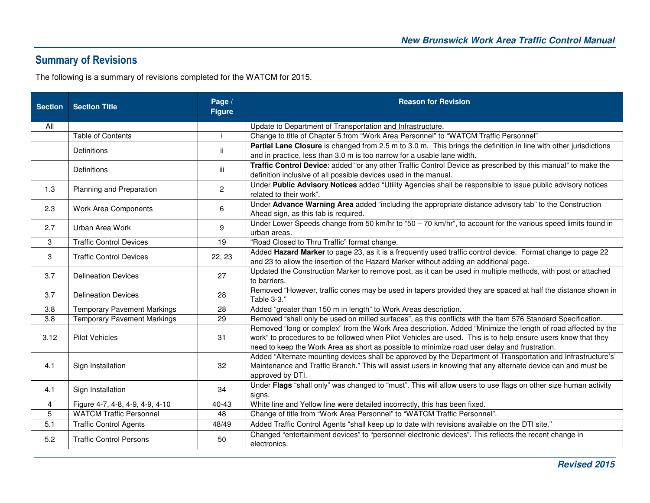## **Summary of Revisions**

The following is a summary of revisions completed for the WATCM for 2015.

| <b>Section</b>   | <b>Section Title</b>               | Page /<br><b>Figure</b> | <b>Reason for Revision</b>                                                                                                                                                                                                                                                                                                   |
|------------------|------------------------------------|-------------------------|------------------------------------------------------------------------------------------------------------------------------------------------------------------------------------------------------------------------------------------------------------------------------------------------------------------------------|
| All              |                                    |                         | Update to Department of Transportation and Infrastructure.                                                                                                                                                                                                                                                                   |
|                  | <b>Table of Contents</b>           |                         | Change to title of Chapter 5 from "Work Area Personnel" to "WATCM Traffic Personnel"                                                                                                                                                                                                                                         |
|                  | <b>Definitions</b>                 | ii.                     | Partial Lane Closure is changed from 2.5 m to 3.0 m. This brings the definition in line with other jurisdictions<br>and in practice, less than 3.0 m is too narrow for a usable lane width.                                                                                                                                  |
|                  | Definitions                        | iii                     | Traffic Control Device: added "or any other Traffic Control Device as prescribed by this manual" to make the<br>definition inclusive of all possible devices used in the manual.                                                                                                                                             |
| 1.3              | Planning and Preparation           | $\mathbf{2}$            | Under Public Advisory Notices added "Utility Agencies shall be responsible to issue public advisory notices<br>related to their work".                                                                                                                                                                                       |
| 2.3              | Work Area Components               | 6                       | Under Advance Warning Area added "including the appropriate distance advisory tab" to the Construction<br>Ahead sign, as this tab is required.                                                                                                                                                                               |
| 2.7              | Urban Area Work                    | 9                       | Under Lower Speeds change from 50 km/hr to "50 - 70 km/hr", to account for the various speed limits found in<br>urban areas.                                                                                                                                                                                                 |
| 3                | <b>Traffic Control Devices</b>     | 19                      | "Road Closed to Thru Traffic" format change.                                                                                                                                                                                                                                                                                 |
| 3                | <b>Traffic Control Devices</b>     | 22, 23                  | Added Hazard Marker to page 23, as it is a frequently used traffic control device. Format change to page 22<br>and 23 to allow the insertion of the Hazard Marker without adding an additional page.                                                                                                                         |
| 3.7              | <b>Delineation Devices</b>         | 27                      | Updated the Construction Marker to remove post, as it can be used in multiple methods, with post or attached<br>to barriers.                                                                                                                                                                                                 |
| 3.7              | <b>Delineation Devices</b>         | 28                      | Removed "However, traffic cones may be used in tapers provided they are spaced at half the distance shown in<br>Table 3-3."                                                                                                                                                                                                  |
| 3.8              | <b>Temporary Pavement Markings</b> | 28                      | Added "greater than 150 m in length" to Work Areas description.                                                                                                                                                                                                                                                              |
| $\overline{3.8}$ | <b>Temporary Pavement Markings</b> | $\overline{29}$         | Removed "shall only be used on milled surfaces", as this conflicts with the Item 576 Standard Specification.                                                                                                                                                                                                                 |
| 3.12             | <b>Pilot Vehicles</b>              | 31                      | Removed "long or complex" from the Work Area description. Added "Minimize the length of road affected by the<br>work" to procedures to be followed when Pilot Vehicles are used. This is to help ensure users know that they<br>need to keep the Work Area as short as possible to minimize road user delay and frustration. |
| 4.1              | Sign Installation                  | 32                      | Added "Alternate mounting devices shall be approved by the Department of Transportation and Infrastructure's'<br>Maintenance and Traffic Branch." This will assist users in knowing that any alternate device can and must be<br>approved by DTI.                                                                            |
| 4.1              | Sign Installation                  | 34                      | Under Flags "shall only" was changed to "must". This will allow users to use flags on other size human activity<br>signs.                                                                                                                                                                                                    |
| $\overline{4}$   | Figure 4-7, 4-8, 4-9, 4-9, 4-10    | 40-43                   | White line and Yellow line were detailed incorrectly, this has been fixed.                                                                                                                                                                                                                                                   |
| 5                | <b>WATCM Traffic Personnel</b>     | 48                      | Change of title from "Work Area Personnel" to "WATCM Traffic Personnel".                                                                                                                                                                                                                                                     |
| 5.1              | <b>Traffic Control Agents</b>      | 48/49                   | Added Traffic Control Agents "shall keep up to date with revisions available on the DTI site."                                                                                                                                                                                                                               |
| 5.2              | <b>Traffic Control Persons</b>     | 50                      | Changed "entertainment devices" to "personnel electronic devices". This reflects the recent change in<br>electronics.                                                                                                                                                                                                        |